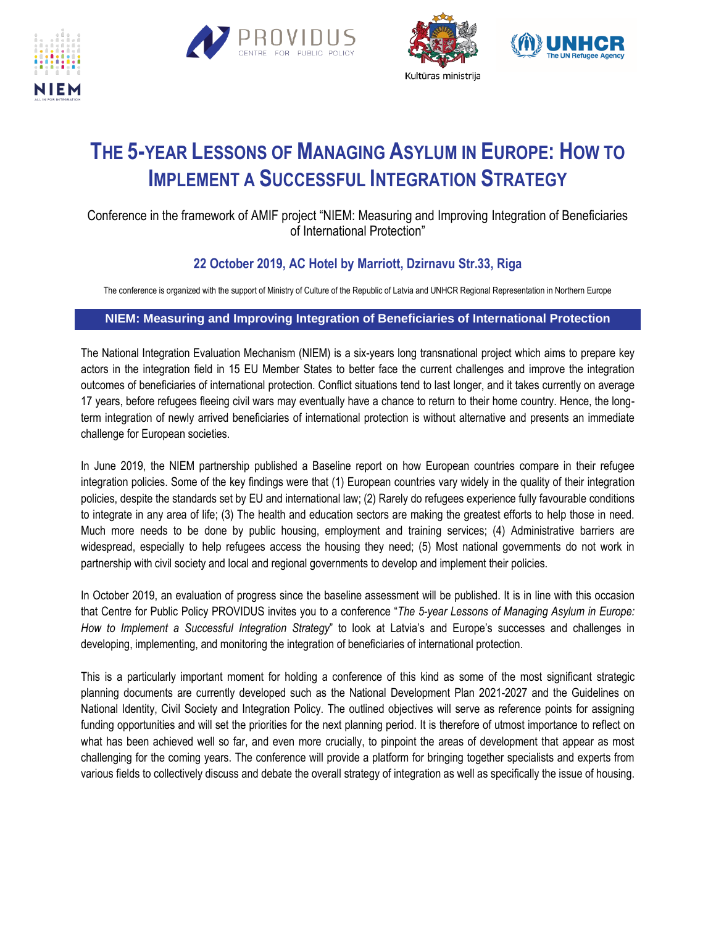







## **THE 5-YEAR LESSONS OF MANAGING ASYLUM IN EUROPE: HOW TO IMPLEMENT A SUCCESSFUL INTEGRATION STRATEGY**

## Conference in the framework of AMIF project "NIEM: Measuring and Improving Integration of Beneficiaries of International Protection"

## **22 October 2019, AC Hotel by Marriott, Dzirnavu Str.33, Riga**

The conference is organized with the support of Ministry of Culture of the Republic of Latvia and UNHCR Regional Representation in Northern Europe

## **NIEM: Measuring and Improving Integration of Beneficiaries of International Protection**

The National Integration Evaluation Mechanism (NIEM) is a six-years long transnational project which aims to prepare key actors in the integration field in 15 EU Member States to better face the current challenges and improve the integration outcomes of beneficiaries of international protection. Conflict situations tend to last longer, and it takes currently on average 17 years, before refugees fleeing civil wars may eventually have a chance to return to their home country. Hence, the longterm integration of newly arrived beneficiaries of international protection is without alternative and presents an immediate challenge for European societies.

In June 2019, the NIEM partnership published a Baseline report on how European countries compare in their refugee integration policies. Some of the key findings were that (1) European countries vary widely in the quality of their integration policies, despite the standards set by EU and international law; (2) Rarely do refugees experience fully favourable conditions to integrate in any area of life; (3) The health and education sectors are making the greatest efforts to help those in need. Much more needs to be done by public housing, employment and training services; (4) Administrative barriers are widespread, especially to help refugees access the housing they need; (5) Most national governments do not work in partnership with civil society and local and regional governments to develop and implement their policies.

In October 2019, an evaluation of progress since the baseline assessment will be published. It is in line with this occasion that Centre for Public Policy PROVIDUS invites you to a conference "*The 5-year Lessons of Managing Asylum in Europe: How to Implement a Successful Integration Strategy*" to look at Latvia's and Europe's successes and challenges in developing, implementing, and monitoring the integration of beneficiaries of international protection.

This is a particularly important moment for holding a conference of this kind as some of the most significant strategic planning documents are currently developed such as the National Development Plan 2021-2027 and the Guidelines on National Identity, Civil Society and Integration Policy. The outlined objectives will serve as reference points for assigning funding opportunities and will set the priorities for the next planning period. It is therefore of utmost importance to reflect on what has been achieved well so far, and even more crucially, to pinpoint the areas of development that appear as most challenging for the coming years. The conference will provide a platform for bringing together specialists and experts from various fields to collectively discuss and debate the overall strategy of integration as well as specifically the issue of housing.